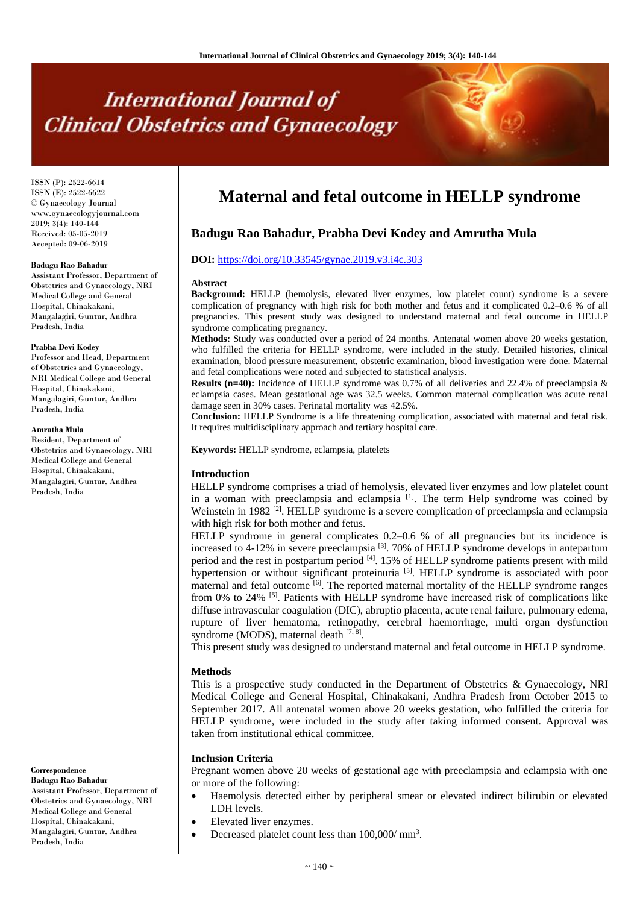# **International Journal of Clinical Obstetrics and Gynaecology**

ISSN (P): 2522-6614 ISSN (E): 2522-6622 © Gynaecology Journal www.gynaecologyjournal.com 2019; 3(4): 140-144 Received: 05-05-2019 Accepted: 09-06-2019

#### **Badugu Rao Bahadur**

Assistant Professor, Department of Obstetrics and Gynaecology, NRI Medical College and General Hospital, Chinakakani, Mangalagiri, Guntur, Andhra Pradesh, India

#### **Prabha Devi Kodey**

Professor and Head, Department of Obstetrics and Gynaecology, NRI Medical College and General Hospital, Chinakakani, Mangalagiri, Guntur, Andhra Pradesh, India

#### **Amrutha Mula**

Resident, Department of Obstetrics and Gynaecology, NRI Medical College and General Hospital, Chinakakani, Mangalagiri, Guntur, Andhra Pradesh, India

**Correspondence Badugu Rao Bahadur**

Assistant Professor, Department of Obstetrics and Gynaecology, NRI Medical College and General Hospital, Chinakakani, Mangalagiri, Guntur, Andhra Pradesh, India

## **Maternal and fetal outcome in HELLP syndrome**

### **Badugu Rao Bahadur, Prabha Devi Kodey and Amrutha Mula**

#### **DOI:** <https://doi.org/10.33545/gynae.2019.v3.i4c.303>

#### **Abstract**

**Background:** HELLP (hemolysis, elevated liver enzymes, low platelet count) syndrome is a severe complication of pregnancy with high risk for both mother and fetus and it complicated 0.2–0.6 % of all pregnancies. This present study was designed to understand maternal and fetal outcome in HELLP syndrome complicating pregnancy.

**Methods:** Study was conducted over a period of 24 months. Antenatal women above 20 weeks gestation, who fulfilled the criteria for HELLP syndrome, were included in the study. Detailed histories, clinical examination, blood pressure measurement, obstetric examination, blood investigation were done. Maternal and fetal complications were noted and subjected to statistical analysis.

**Results (n=40):** Incidence of HELLP syndrome was 0.7% of all deliveries and 22.4% of preeclampsia & eclampsia cases. Mean gestational age was 32.5 weeks. Common maternal complication was acute renal damage seen in 30% cases. Perinatal mortality was 42.5%.

**Conclusion:** HELLP Syndrome is a life threatening complication, associated with maternal and fetal risk. It requires multidisciplinary approach and tertiary hospital care.

**Keywords:** HELLP syndrome, eclampsia, platelets

#### **Introduction**

HELLP syndrome comprises a triad of hemolysis, elevated liver enzymes and low platelet count in a woman with preeclampsia and eclampsia <sup>[1]</sup>. The term Help syndrome was coined by Weinstein in 1982<sup>[2]</sup>. HELLP syndrome is a severe complication of preeclampsia and eclampsia with high risk for both mother and fetus.

HELLP syndrome in general complicates 0.2–0.6 % of all pregnancies but its incidence is increased to 4-12% in severe preeclampsia  $^{[3]}$ . 70% of HELLP syndrome develops in antepartum period and the rest in postpartum period  $\frac{4}{1}$ . 15% of HELLP syndrome patients present with mild hypertension or without significant proteinuria<sup>[5]</sup>. HELLP syndrome is associated with poor maternal and fetal outcome <sup>[6]</sup>. The reported maternal mortality of the HELLP syndrome ranges from 0% to 24%  $[5]$ . Patients with HELLP syndrome have increased risk of complications like diffuse intravascular coagulation (DIC), abruptio placenta, acute renal failure, pulmonary edema, rupture of liver hematoma, retinopathy, cerebral haemorrhage, multi organ dysfunction syndrome (MODS), maternal death [7, 8].

This present study was designed to understand maternal and fetal outcome in HELLP syndrome.

#### **Methods**

This is a prospective study conducted in the Department of Obstetrics & Gynaecology, NRI Medical College and General Hospital, Chinakakani, Andhra Pradesh from October 2015 to September 2017. All antenatal women above 20 weeks gestation, who fulfilled the criteria for HELLP syndrome, were included in the study after taking informed consent. Approval was taken from institutional ethical committee.

#### **Inclusion Criteria**

Pregnant women above 20 weeks of gestational age with preeclampsia and eclampsia with one or more of the following:

- Haemolysis detected either by peripheral smear or elevated indirect bilirubin or elevated LDH levels.
- Elevated liver enzymes.
- Decreased platelet count less than  $100,000/\text{mm}^3$ .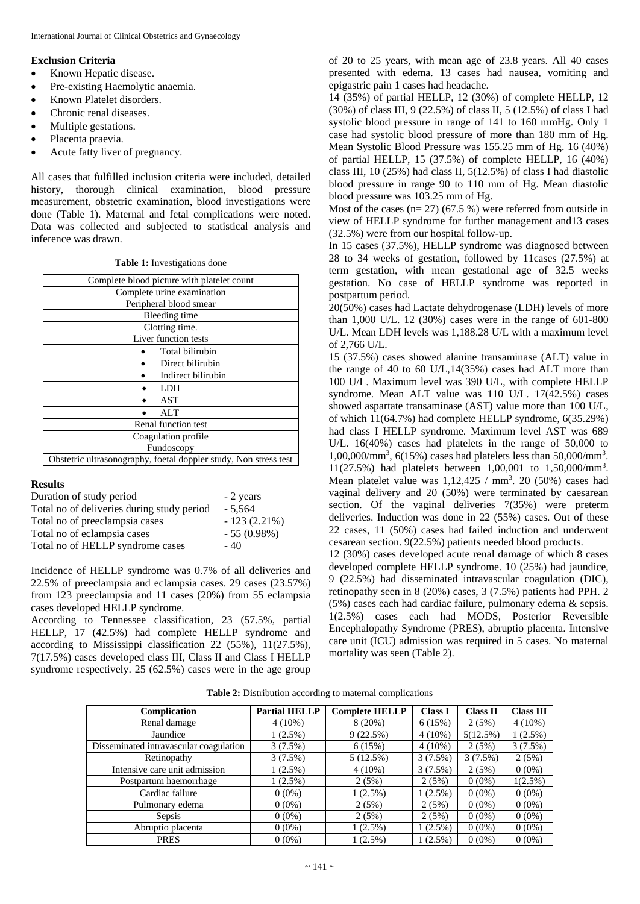#### **Exclusion Criteria**

- Known Hepatic disease.
- Pre-existing Haemolytic anaemia.
- Known Platelet disorders.
- Chronic renal diseases.
- Multiple gestations.
- Placenta praevia.
- Acute fatty liver of pregnancy.

All cases that fulfilled inclusion criteria were included, detailed history, thorough clinical examination, blood pressure measurement, obstetric examination, blood investigations were done (Table 1). Maternal and fetal complications were noted. Data was collected and subjected to statistical analysis and inference was drawn.

**Table 1:** Investigations done

| Complete blood picture with platelet count                       |  |  |  |  |  |  |
|------------------------------------------------------------------|--|--|--|--|--|--|
| Complete urine examination                                       |  |  |  |  |  |  |
| Peripheral blood smear                                           |  |  |  |  |  |  |
| Bleeding time                                                    |  |  |  |  |  |  |
| Clotting time.                                                   |  |  |  |  |  |  |
| Liver function tests                                             |  |  |  |  |  |  |
| Total bilirubin                                                  |  |  |  |  |  |  |
| Direct bilirubin                                                 |  |  |  |  |  |  |
| Indirect bilirubin                                               |  |  |  |  |  |  |
| LDH                                                              |  |  |  |  |  |  |
| AST                                                              |  |  |  |  |  |  |
| AI.T                                                             |  |  |  |  |  |  |
| Renal function test                                              |  |  |  |  |  |  |
| Coagulation profile                                              |  |  |  |  |  |  |
| Fundoscopy                                                       |  |  |  |  |  |  |
| Obstetric ultrasonography, foetal doppler study, Non stress test |  |  |  |  |  |  |

#### **Results**

| Duration of study period                   | - 2 years      |
|--------------------------------------------|----------------|
| Total no of deliveries during study period | $-5.564$       |
| Total no of preeclampsia cases             | $-123(2.21\%)$ |
| Total no of eclampsia cases                | $-55(0.98%)$   |
| Total no of HELLP syndrome cases           | $-40$          |

Incidence of HELLP syndrome was 0.7% of all deliveries and 22.5% of preeclampsia and eclampsia cases. 29 cases (23.57%) from 123 preeclampsia and 11 cases (20%) from 55 eclampsia cases developed HELLP syndrome.

According to Tennessee classification, 23 (57.5%, partial HELLP, 17 (42.5%) had complete HELLP syndrome and according to Mississippi classification 22 (55%), 11(27.5%), 7(17.5%) cases developed class III, Class II and Class I HELLP syndrome respectively. 25 (62.5%) cases were in the age group

of 20 to 25 years, with mean age of 23.8 years. All 40 cases presented with edema. 13 cases had nausea, vomiting and epigastric pain 1 cases had headache.

14 (35%) of partial HELLP, 12 (30%) of complete HELLP, 12 (30%) of class III, 9 (22.5%) of class II, 5 (12.5%) of class I had systolic blood pressure in range of 141 to 160 mmHg. Only 1 case had systolic blood pressure of more than 180 mm of Hg. Mean Systolic Blood Pressure was 155.25 mm of Hg. 16 (40%) of partial HELLP, 15 (37.5%) of complete HELLP, 16 (40%) class III, 10 (25%) had class II,  $5(12.5\%)$  of class I had diastolic blood pressure in range 90 to 110 mm of Hg. Mean diastolic blood pressure was 103.25 mm of Hg.

Most of the cases  $(n= 27)$  (67.5 %) were referred from outside in view of HELLP syndrome for further management and13 cases (32.5%) were from our hospital follow-up.

In 15 cases (37.5%), HELLP syndrome was diagnosed between 28 to 34 weeks of gestation, followed by 11cases (27.5%) at term gestation, with mean gestational age of 32.5 weeks gestation. No case of HELLP syndrome was reported in postpartum period.

20(50%) cases had Lactate dehydrogenase (LDH) levels of more than 1,000 U/L. 12 (30%) cases were in the range of 601-800 U/L. Mean LDH levels was 1,188.28 U/L with a maximum level of 2,766 U/L.

15 (37.5%) cases showed alanine transaminase (ALT) value in the range of 40 to 60 U/L,14(35%) cases had ALT more than 100 U/L. Maximum level was 390 U/L, with complete HELLP syndrome. Mean ALT value was 110 U/L. 17(42.5%) cases showed aspartate transaminase (AST) value more than 100 U/L, of which 11(64.7%) had complete HELLP syndrome, 6(35.29%) had class I HELLP syndrome. Maximum level AST was 689 U/L. 16(40%) cases had platelets in the range of 50,000 to 1,00,000/mm<sup>3</sup> , 6(15%) cases had platelets less than 50,000/mm<sup>3</sup> . 11(27.5%) had platelets between 1,00,001 to 1,50,000/mm<sup>3</sup> . Mean platelet value was  $1,12,425$  / mm<sup>3</sup>. 20 (50%) cases had vaginal delivery and 20 (50%) were terminated by caesarean section. Of the vaginal deliveries 7(35%) were preterm deliveries. Induction was done in 22 (55%) cases. Out of these 22 cases, 11 (50%) cases had failed induction and underwent cesarean section. 9(22.5%) patients needed blood products.

12 (30%) cases developed acute renal damage of which 8 cases developed complete HELLP syndrome. 10 (25%) had jaundice, 9 (22.5%) had disseminated intravascular coagulation (DIC), retinopathy seen in 8 (20%) cases, 3 (7.5%) patients had PPH. 2 (5%) cases each had cardiac failure, pulmonary edema & sepsis. 1(2.5%) cases each had MODS, Posterior Reversible Encephalopathy Syndrome (PRES), abruptio placenta. Intensive care unit (ICU) admission was required in 5 cases. No maternal mortality was seen (Table 2).

|  | <b>Table 2:</b> Distribution according to maternal complications |  |  |  |  |
|--|------------------------------------------------------------------|--|--|--|--|
|--|------------------------------------------------------------------|--|--|--|--|

| Complication                           | <b>Partial HELLP</b> | <b>Complete HELLP</b> | <b>Class I</b> | <b>Class II</b> | <b>Class III</b> |
|----------------------------------------|----------------------|-----------------------|----------------|-----------------|------------------|
| Renal damage                           | $4(10\%)$            | $8(20\%)$             | 6(15%)         | 2(5%)           | $4(10\%)$        |
| Jaundice                               | $1(2.5\%)$           | 9(22.5%)              | $4(10\%)$      | 5(12.5%)        | $1(2.5\%)$       |
| Disseminated intravascular coagulation | 3(7.5%)              | 6(15%)                | $4(10\%)$      | 2(5%)           | 3(7.5%)          |
| Retinopathy                            | 3(7.5%)              | 5(12.5%)              | $3(7.5\%)$     | $3(7.5\%)$      | 2(5%)            |
| Intensive care unit admission          | $1(2.5\%)$           | $4(10\%)$             | 3(7.5%)        | 2(5%)           | $0(0\%)$         |
| Postpartum haemorrhage                 | $1(2.5\%)$           | 2(5%)                 | 2(5%)          | $0(0\%)$        | $1(2.5\%)$       |
| Cardiac failure                        | $0(0\%)$             | $1(2.5\%)$            | $1(2.5\%)$     | $0(0\%)$        | $0(0\%)$         |
| Pulmonary edema                        | $0(0\%)$             | 2(5%)                 | 2(5%)          | $0(0\%)$        | $0(0\%)$         |
| Sepsis                                 | $0(0\%)$             | 2(5%)                 | 2(5%)          | $0(0\%)$        | $0(0\%)$         |
| Abruptio placenta                      | $0(0\%)$             | $1(2.5\%)$            | $1(2.5\%)$     | $0(0\%)$        | $0(0\%)$         |
| <b>PRES</b>                            | $0(0\%)$             | $1(2.5\%)$            | $1(2.5\%)$     | $0(0\%)$        | $0(0\%)$         |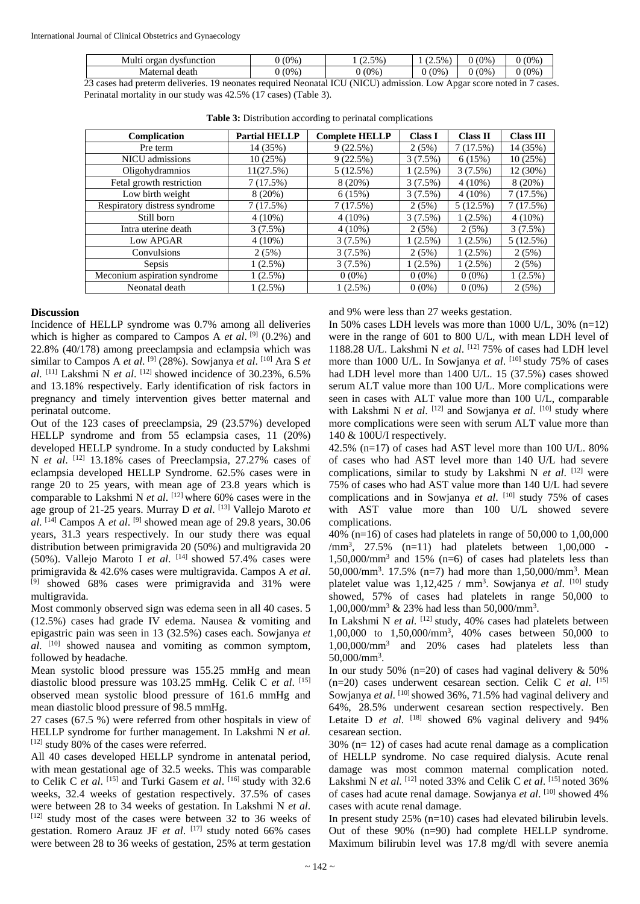| Multi<br>organ<br>dvsfunction | (0% | $5%$ .<br>ر. ۔ | (2.5% | (0% | (0%           |
|-------------------------------|-----|----------------|-------|-----|---------------|
| death<br>Maternal             | (0% | (0%            | (0%   | (0% | (0%<br>$\sim$ |

23 cases had preterm deliveries. 19 neonates required Neonatal ICU (NICU) admission. Low Apgar score noted in 7 cases. Perinatal mortality in our study was 42.5% (17 cases) (Table 3).

| Complication                  | <b>Partial HELLP</b> | <b>Complete HELLP</b> | <b>Class I</b> | <b>Class II</b> | <b>Class III</b> |
|-------------------------------|----------------------|-----------------------|----------------|-----------------|------------------|
| Pre term                      | 14 (35%)             | 9(22.5%)              | 2(5%)          | 7(17.5%)        | 14 (35%)         |
| NICU admissions               | 10(25%)              | 9(22.5%)              | 3(7.5%)        | 6(15%)          | 10(25%)          |
| Oligohydramnios               | 11(27.5%)            | 5(12.5%)              | $1(2.5\%)$     | 3(7.5%)         | 12 (30%)         |
| Fetal growth restriction      | 7(17.5%)             | 8(20%)                | 3(7.5%)        | $4(10\%)$       | 8(20%)           |
| Low birth weight              | $8(20\%)$            | 6(15%)                | 3(7.5%)        | $4(10\%)$       | 7(17.5%)         |
| Respiratory distress syndrome | 7(17.5%)             | 7(17.5%)              | 2(5%)          | 5(12.5%)        | 7(17.5%)         |
| Still born                    | $4(10\%)$            | $4(10\%)$             | 3(7.5%)        | $1(2.5\%)$      | $4(10\%)$        |
| Intra uterine death           | 3(7.5%)              | $4(10\%)$             | 2(5%)          | 2(5%)           | 3(7.5%)          |
| Low APGAR                     | $4(10\%)$            | 3(7.5%)               | $1(2.5\%)$     | $1(2.5\%)$      | 5(12.5%)         |
| Convulsions                   | 2(5%)                | 3(7.5%)               | 2(5%)          | $1(2.5\%)$      | 2(5%)            |
| Sepsis                        | $1(2.5\%)$           | 3(7.5%)               | $1(2.5\%)$     | 1(2.5%)         | 2(5%)            |
| Meconium aspiration syndrome  | $1(2.5\%)$           | $0(0\%)$              | $0(0\%)$       | $0(0\%)$        | $1(2.5\%)$       |
| Neonatal death                | $1(2.5\%)$           | $1(2.5\%)$            | $0(0\%)$       | $0(0\%)$        | 2(5%)            |

**Table 3:** Distribution according to perinatal complications

#### **Discussion**

Incidence of HELLP syndrome was 0.7% among all deliveries which is higher as compared to Campos A *et al.* <sup>[9]</sup> (0.2%) and 22.8% (40/178) among preeclampsia and eclampsia which was similar to Campos A *et al.* <sup>[9]</sup> (28%). Sowjanya *et al.* <sup>[10]</sup> Ara S *et* al.  $^{[11]}$  Lakshmi N *et al.*  $^{[12]}$  showed incidence of 30.23%, 6.5% and 13.18% respectively. Early identification of risk factors in pregnancy and timely intervention gives better maternal and perinatal outcome.

Out of the 123 cases of preeclampsia, 29 (23.57%) developed HELLP syndrome and from 55 eclampsia cases, 11 (20%) developed HELLP syndrome. In a study conducted by Lakshmi N *et al.* <sup>[12]</sup> 13.18% cases of Preeclampsia, 27.27% cases of eclampsia developed HELLP Syndrome. 62.5% cases were in range 20 to 25 years, with mean age of 23.8 years which is comparable to Lakshmi N *et al*. [12] where 60% cases were in the age group of 21-25 years. Murray D *et al*. [13] Vallejo Maroto *et*   $al.$  <sup>[14]</sup> Campos A *et al.* <sup>[9]</sup> showed mean age of 29.8 years, 30.06 years, 31.3 years respectively. In our study there was equal distribution between primigravida 20 (50%) and multigravida 20 (50%). Vallejo Maroto I *et al*. [14] showed 57.4% cases were primigravida & 42.6% cases were multigravida. Campos A *et al*. [9] showed 68% cases were primigravida and 31% were multigravida.

Most commonly observed sign was edema seen in all 40 cases. 5 (12.5%) cases had grade IV edema. Nausea & vomiting and epigastric pain was seen in 13 (32.5%) cases each. Sowjanya *et al*. [10] showed nausea and vomiting as common symptom, followed by headache.

Mean systolic blood pressure was 155.25 mmHg and mean diastolic blood pressure was 103.25 mmHg. Celik C *et al*. [15] observed mean systolic blood pressure of 161.6 mmHg and mean diastolic blood pressure of 98.5 mmHg.

27 cases (67.5 %) were referred from other hospitals in view of HELLP syndrome for further management. In Lakshmi N *et al.*  [12] study 80% of the cases were referred.

All 40 cases developed HELLP syndrome in antenatal period, with mean gestational age of 32.5 weeks. This was comparable to Celik C *et al.* <sup>[15]</sup> and Turki Gasem *et al.* <sup>[16]</sup> study with 32.6 weeks, 32.4 weeks of gestation respectively. 37.5% of cases were between 28 to 34 weeks of gestation. In Lakshmi N *et al*. [12] study most of the cases were between 32 to 36 weeks of gestation. Romero Arauz JF et al. [17] study noted 66% cases were between 28 to 36 weeks of gestation, 25% at term gestation

and 9% were less than 27 weeks gestation.

In 50% cases LDH levels was more than 1000 U/L, 30% (n=12) were in the range of 601 to 800 U/L, with mean LDH level of 1188.28 U/L. Lakshmi N *et al*. [12] 75% of cases had LDH level more than 1000 U/L. In Sowjanya et al. <sup>[10]</sup> study 75% of cases had LDH level more than 1400 U/L. 15 (37.5%) cases showed serum ALT value more than 100 U/L. More complications were seen in cases with ALT value more than 100 U/L, comparable with Lakshmi N *et al.* <sup>[12]</sup> and Sowjanya *et al.* <sup>[10]</sup> study where more complications were seen with serum ALT value more than 140 & 100U/I respectively.

42.5% (n=17) of cases had AST level more than 100 U/L. 80% of cases who had AST level more than 140 U/L had severe complications, similar to study by Lakshmi N *et al*. [12] were 75% of cases who had AST value more than 140 U/L had severe complications and in Sowjanya *et al*. [10] study 75% of cases with AST value more than 100 U/L showed severe complications.

40% (n=16) of cases had platelets in range of 50,000 to 1,00,000 /mm<sup>3</sup>, 27.5% (n=11) had platelets between 1,00,000 -1,50,000/mm<sup>3</sup> and 15% (n=6) of cases had platelets less than 50,000/mm<sup>3</sup> . 17.5% (n=7) had more than 1,50,000/mm<sup>3</sup> . Mean platelet value was 1,12,425 / mm<sup>3</sup>. Sowjanya et al. <sup>[10]</sup> study showed, 57% of cases had platelets in range 50,000 to 1,00,000/mm<sup>3</sup> & 23% had less than 50,000/mm<sup>3</sup> .

In Lakshmi N et al. [12] study, 40% cases had platelets between 1,00,000 to 1,50,000/mm<sup>3</sup> , 40% cases between 50,000 to 1,00,000/mm<sup>3</sup> and 20% cases had platelets less than 50,000/mm<sup>3</sup> .

In our study 50% (n=20) of cases had vaginal delivery  $\&$  50% (n=20) cases underwent cesarean section. Celik C *et al*. [15] Sowjanya et al. [10] showed 36%, 71.5% had vaginal delivery and 64%, 28.5% underwent cesarean section respectively. Ben Letaite D *et al.* <sup>[18]</sup> showed 6% vaginal delivery and 94% cesarean section.

30% (n= 12) of cases had acute renal damage as a complication of HELLP syndrome. No case required dialysis. Acute renal damage was most common maternal complication noted. Lakshmi N *et al.* <sup>[12]</sup> noted 33% and Celik C *et al.* <sup>[15]</sup> noted 36% of cases had acute renal damage. Sowjanya et al. [10] showed 4% cases with acute renal damage.

In present study 25% (n=10) cases had elevated bilirubin levels. Out of these 90% (n=90) had complete HELLP syndrome. Maximum bilirubin level was 17.8 mg/dl with severe anemia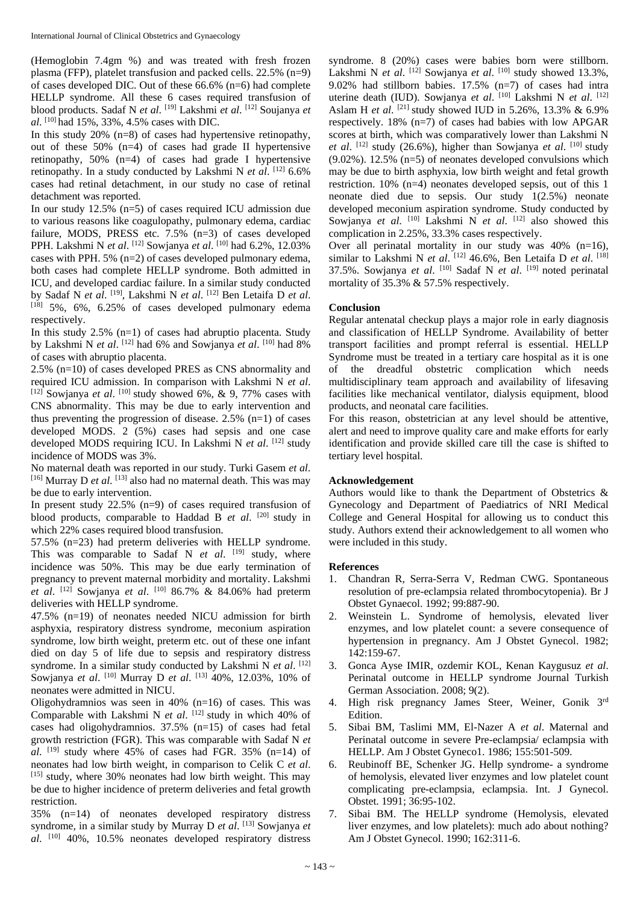(Hemoglobin 7.4gm %) and was treated with fresh frozen plasma (FFP), platelet transfusion and packed cells. 22.5% (n=9) of cases developed DIC. Out of these 66.6% (n=6) had complete HELLP syndrome. All these 6 cases required transfusion of blood products. Sadaf N *et al*. [19] Lakshmi *et al*. [12] Soujanya *et al*. [10] had 15%, 33%, 4.5% cases with DIC.

In this study 20% (n=8) of cases had hypertensive retinopathy, out of these 50% (n=4) of cases had grade II hypertensive retinopathy, 50% (n=4) of cases had grade I hypertensive retinopathy. In a study conducted by Lakshmi N *et al.* [12] 6.6% cases had retinal detachment, in our study no case of retinal detachment was reported.

In our study 12.5% (n=5) of cases required ICU admission due to various reasons like coagulopathy, pulmonary edema, cardiac failure, MODS, PRESS etc. 7.5% (n=3) of cases developed PPH. Lakshmi N *et al*. [12] Sowjanya *et al*. [10] had 6.2%, 12.03% cases with PPH. 5% (n=2) of cases developed pulmonary edema, both cases had complete HELLP syndrome. Both admitted in ICU, and developed cardiac failure. In a similar study conducted by Sadaf N *et al*. [19] , Lakshmi N *et al*. [12] Ben Letaifa D *et al*.  $[18]$  5%, 6%, 6.25% of cases developed pulmonary edema respectively.

In this study  $2.5\%$  (n=1) of cases had abruptio placenta. Study by Lakshmi N *et al*. [12] had 6% and Sowjanya *et al*. [10] had 8% of cases with abruptio placenta.

2.5% (n=10) of cases developed PRES as CNS abnormality and required ICU admission. In comparison with Lakshmi N *et al*. [12] Sowjanya *et al.* [10] study showed 6%, & 9, 77% cases with CNS abnormality. This may be due to early intervention and thus preventing the progression of disease.  $2.5\%$  (n=1) of cases developed MODS. 2 (5%) cases had sepsis and one case developed MODS requiring ICU. In Lakshmi N et al. [12] study incidence of MODS was 3%.

No maternal death was reported in our study. Turki Gasem *et al*. [16] Murray D *et al*. [13] also had no maternal death. This was may be due to early intervention.

In present study 22.5% (n=9) of cases required transfusion of blood products, comparable to Haddad B et al. <sup>[20]</sup> study in which 22% cases required blood transfusion.

57.5% (n=23) had preterm deliveries with HELLP syndrome. This was comparable to Sadaf N *et al.* [19] study, where incidence was 50%. This may be due early termination of pregnancy to prevent maternal morbidity and mortality. Lakshmi *et al*. [12] Sowjanya *et al*. [10] 86.7% & 84.06% had preterm deliveries with HELLP syndrome.

47.5% (n=19) of neonates needed NICU admission for birth asphyxia, respiratory distress syndrome, meconium aspiration syndrome, low birth weight, preterm etc. out of these one infant died on day 5 of life due to sepsis and respiratory distress syndrome. In a similar study conducted by Lakshmi N et al. [12] Sowjanya *et al*. [10] Murray D *et al*. [13] 40%, 12.03%, 10% of neonates were admitted in NICU.

Oligohydramnios was seen in 40% (n=16) of cases. This was Comparable with Lakshmi N *et al.* [12] study in which 40% of cases had oligohydramnios. 37.5% (n=15) of cases had fetal growth restriction (FGR). This was comparable with Sadaf N *et*   $al.$  <sup>[19]</sup> study where 45% of cases had FGR. 35% (n=14) of neonates had low birth weight, in comparison to Celik C *et al*. [15] study, where 30% neonates had low birth weight. This may be due to higher incidence of preterm deliveries and fetal growth restriction.

35% (n=14) of neonates developed respiratory distress syndrome, in a similar study by Murray D *et al*. [13] Sowjanya *et al*. [10] 40%, 10.5% neonates developed respiratory distress syndrome. 8 (20%) cases were babies born were stillborn. Lakshmi N *et al.* <sup>[12]</sup> Sowjanya *et al.* <sup>[10]</sup> study showed 13.3%, 9.02% had stillborn babies. 17.5% (n=7) of cases had intra uterine death (IUD). Sowjanya et al. [10] Lakshmi N et al. [12] Aslam H *et al*. [21] study showed IUD in 5.26%, 13.3% & 6.9% respectively. 18% (n=7) of cases had babies with low APGAR scores at birth, which was comparatively lower than Lakshmi N *et al.* <sup>[12]</sup> study (26.6%), higher than Sowjanya *et al.* <sup>[10]</sup> study  $(9.02\%)$ . 12.5% (n=5) of neonates developed convulsions which may be due to birth asphyxia, low birth weight and fetal growth restriction. 10% (n=4) neonates developed sepsis, out of this 1 neonate died due to sepsis. Our study 1(2.5%) neonate developed meconium aspiration syndrome. Study conducted by Sowjanya et al. <sup>[10]</sup> Lakshmi N et al. <sup>[12]</sup> also showed this complication in 2.25%, 33.3% cases respectively.

Over all perinatal mortality in our study was  $40\%$  (n=16), similar to Lakshmi N *et al.* <sup>[12]</sup> 46.6%, Ben Letaifa D *et al.* <sup>[18]</sup> 37.5%. Sowjanya *et al*. [10] Sadaf N *et al*. [19] noted perinatal mortality of 35.3% & 57.5% respectively.

#### **Conclusion**

Regular antenatal checkup plays a major role in early diagnosis and classification of HELLP Syndrome. Availability of better transport facilities and prompt referral is essential. HELLP Syndrome must be treated in a tertiary care hospital as it is one of the dreadful obstetric complication which needs multidisciplinary team approach and availability of lifesaving facilities like mechanical ventilator, dialysis equipment, blood products, and neonatal care facilities.

For this reason, obstetrician at any level should be attentive, alert and need to improve quality care and make efforts for early identification and provide skilled care till the case is shifted to tertiary level hospital.

#### **Acknowledgement**

Authors would like to thank the Department of Obstetrics & Gynecology and Department of Paediatrics of NRI Medical College and General Hospital for allowing us to conduct this study. Authors extend their acknowledgement to all women who were included in this study.

#### **References**

- 1. Chandran R, Serra-Serra V, Redman CWG. Spontaneous resolution of pre-eclampsia related thrombocytopenia). Br J Obstet Gynaecol. 1992; 99:887-90.
- 2. Weinstein L. Syndrome of hemolysis, elevated liver enzymes, and low platelet count: a severe consequence of hypertension in pregnancy. Am J Obstet Gynecol. 1982; 142:159-67.
- 3. Gonca Ayse IMIR, ozdemir KOL, Kenan Kaygusuz *et al*. Perinatal outcome in HELLP syndrome Journal Turkish German Association. 2008; 9(2).
- 4. High risk pregnancy James Steer, Weiner, Gonik 3rd Edition.
- 5. Sibai BM, Taslimi MM, El-Nazer A *et al*. Maternal and Perinatal outcome in severe Pre-eclampsia/ eclampsia with HELLP. Am J Obstet Gyneco1. 1986; 155:501-509.
- 6. Reubinoff BE, Schenker JG. Hellp syndrome- a syndrome of hemolysis, elevated liver enzymes and low platelet count complicating pre-eclampsia, eclampsia. Int. J Gynecol. Obstet. 1991; 36:95-102.
- 7. Sibai BM. The HELLP syndrome (Hemolysis, elevated liver enzymes, and low platelets): much ado about nothing? Am J Obstet Gynecol. 1990; 162:311-6.